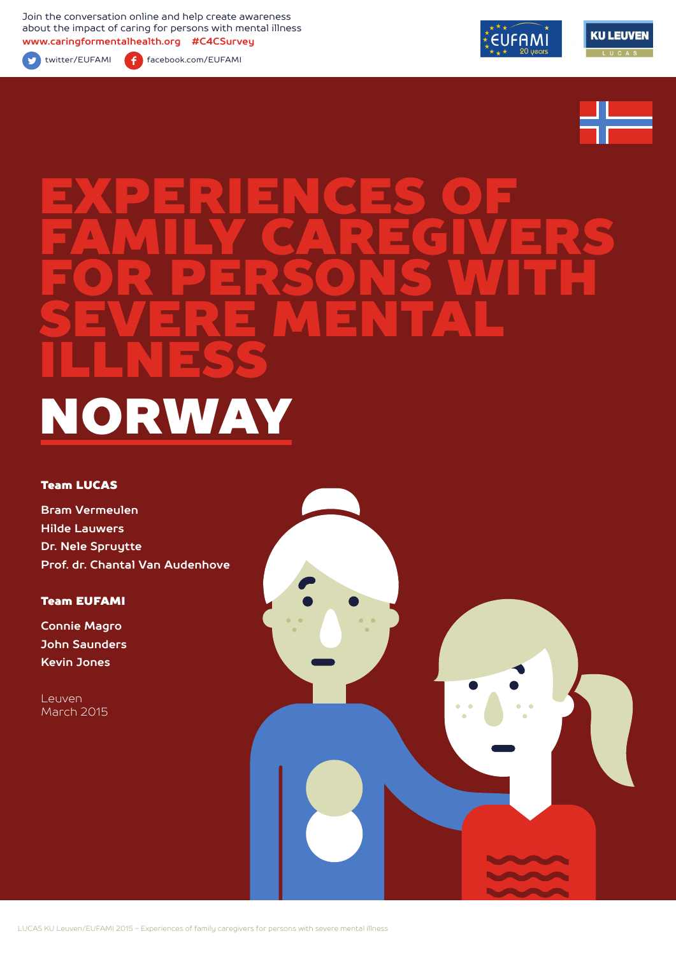Join the conversation online and help create awareness about the impact of caring for persons with mental illness **www.caringformentalhealth.org #C4CSurvey**



twitter/EUFAMI facebook.com/EUFAMI







# EXPERIENCES OF FAMILY CAREGIVERS FOR PERSONS WITH SEVERE MENTAL ILLNESS NORWAY

#### Team LUCAS

**Bram Vermeulen Hilde Lauwers Dr. Nele Spruytte Prof. dr. Chantal Van Audenhove**

Team EUFAMI

**Connie Magro John Saunders Kevin Jones**

Leuven March 2015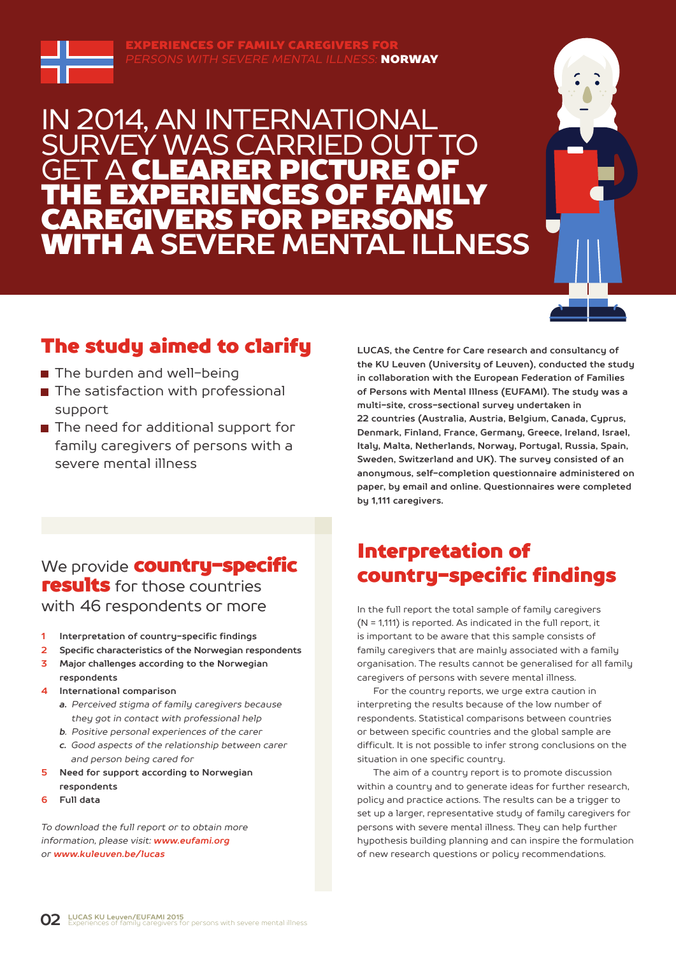

EXPERIENCES OF FAMILY CAREGIVERS FOR *PERSONS WITH SEVERE MENTAL ILLNESS:* NORWAY

### IN 2014, AN INTERNATIONAL WAS CARRI **GET A CLEARER PICTURE OF** THE EXPERIENCES OF FAMILY AREGIVERS FOR PERSONS<br>/ITH A SFVFRF MFNTAL II I NFSS **WITH A SEVERE MENTAL**



### The study aimed to clarify

- The burden and well-being
- The satisfaction with professional support
- The need for additional support for family caregivers of persons with a severe mental illness

**LUCAS, the Centre for Care research and consultancy of the KU Leuven (University of Leuven), conducted the study in collaboration with the European Federation of Families of Persons with Mental Illness (EUFAMI). The study was a multi-site, cross-sectional survey undertaken in 22 countries (Australia, Austria, Belgium, Canada, Cyprus, Denmark, Finland, France, Germany, Greece, Ireland, Israel, Italy, Malta, Netherlands, Norway, Portugal, Russia, Spain, Sweden, Switzerland and UK). The survey consisted of an anonymous, self-completion questionnaire administered on paper, by email and online. Questionnaires were completed by 1,111 caregivers.** 

### Interpretation of country-specific findings

In the full report the total sample of family caregivers (N = 1,111) is reported. As indicated in the full report, it is important to be aware that this sample consists of family caregivers that are mainly associated with a family organisation. The results cannot be generalised for all family caregivers of persons with severe mental illness.

For the country reports, we urge extra caution in interpreting the results because of the low number of respondents. Statistical comparisons between countries or between specific countries and the global sample are difficult. It is not possible to infer strong conclusions on the situation in one specific country.

The aim of a country report is to promote discussion within a country and to generate ideas for further research, policy and practice actions. The results can be a trigger to set up a larger, representative study of family caregivers for persons with severe mental illness. They can help further hypothesis building planning and can inspire the formulation of new research questions or policy recommendations.

### We provide **country-specific** results for those countries with 46 respondents or more

- **1 Interpretation of country-specific findings**
- **2 Specific characteristics of the Norwegian respondents**
- **3 Major challenges according to the Norwegian respondents**
- **4 International comparison**
	- *a. Perceived stigma of family caregivers because they got in contact with professional help*
	- *b. Positive personal experiences of the carer*
	- *c. Good aspects of the relationship between carer and person being cared for*
- **5 Need for support according to Norwegian respondents**
- **6 Full data**

*To download the full report or to obtain more information, please visit: www.eufami.org or www.kuleuven.be/lucas*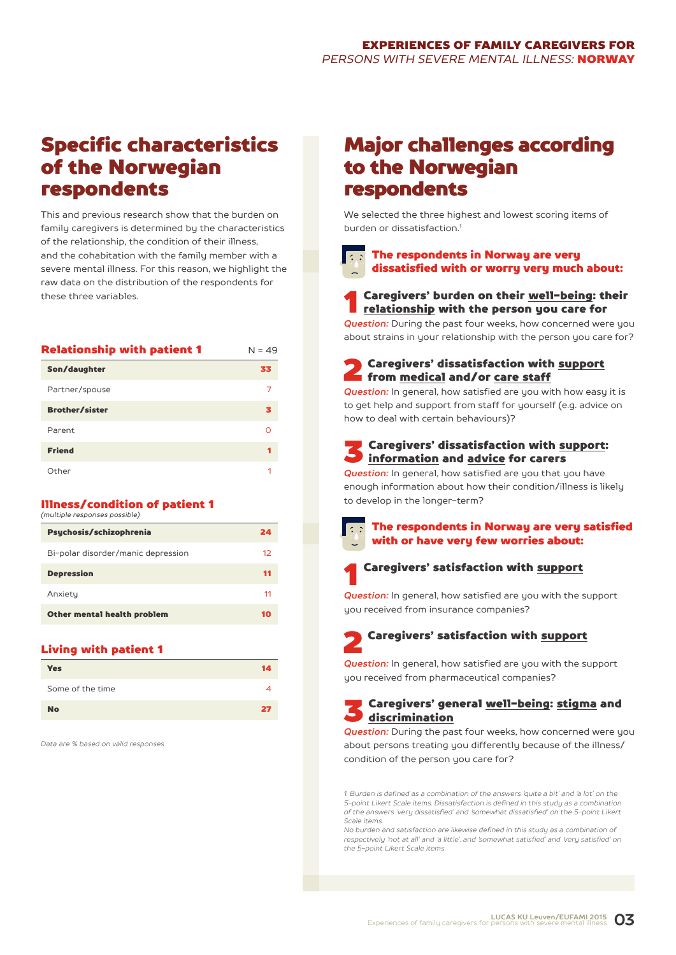### Specific characteristics of the Norwegian respondents

This and previous research show that the burden on family caregivers is determined by the characteristics of the relationship, the condition of their illness, and the cohabitation with the family member with a severe mental illness. For this reason, we highlight the raw data on the distribution of the respondents for these three variables.

| <b>Relationship with patient 1</b> | $N = 49$ |
|------------------------------------|----------|
| Son/daughter                       | 33       |
| Partner/spouse                     | 7        |
| <b>Brother/sister</b>              | з        |
| Parent                             |          |
| <b>Friend</b>                      | 1        |
| Other                              |          |

#### Illness/condition of patient 1 *(multiple responses possible)*

| 24 |
|----|
| 12 |
| 11 |
| 11 |
| 10 |
|    |

#### Living with patient 1

| <b>Yes</b>       | 14 |
|------------------|----|
| Some of the time |    |
| <b>No</b>        | 27 |

*Data are % based on valid responses*

### Major challenges according to the Norwegian respondents

We selected the three highest and lowest scoring items of burden or dissatisfaction<sup>1</sup>

The respondents in Norway are very dissatisfied with or worry very much about:

**1** Caregivers' burden on their <u>well-being</u>: their<br><u>relationship</u> with the person you care for

*Question:* During the past four weeks, how concerned were you about strains in your relationship with the person you care for?

**2** Caregivers' dissatisfaction with support<br>from <u>medical</u> and/or care staff

*Question:* In general, how satisfied are you with how easy it is to get help and support from staff for yourself (e.g. advice on how to deal with certain behaviours)?

### Caregivers' dissatisfaction with support: information and advice for carers

*Question:* In general, how satisfied are you that you have enough information about how their condition/illness is likely to develop in the longer-term?



#### The respondents in Norway are very satisfied with or have very few worries about:



*Question:* In general, how satisfied are you with the support you received from insurance companies?

## 2 Caregivers' satisfaction with support

*Question:* In general, how satisfied are you with the support you received from pharmaceutical companies?

### **3 Caregivers' general well-being: stigma and**  $\Box$  discrimination

**Question:** During the past four weeks, how concerned were you about persons treating you differently because of the illness/ condition of the person you care for?

*1. Burden is defined as a combination of the answers 'quite a bit' and 'a lot' on the 5-point Likert Scale items. Dissatisfaction is defined in this study as a combination of the answers 'very dissatisfied' and 'somewhat dissatisfied' on the 5-point Likert Scale items.*

*No burden and satisfaction are likewise defined in this study as a combination of respectively 'not at all' and 'a little', and 'somewhat satisfied' and 'very satisfied' on the 5-point Likert Scale items.*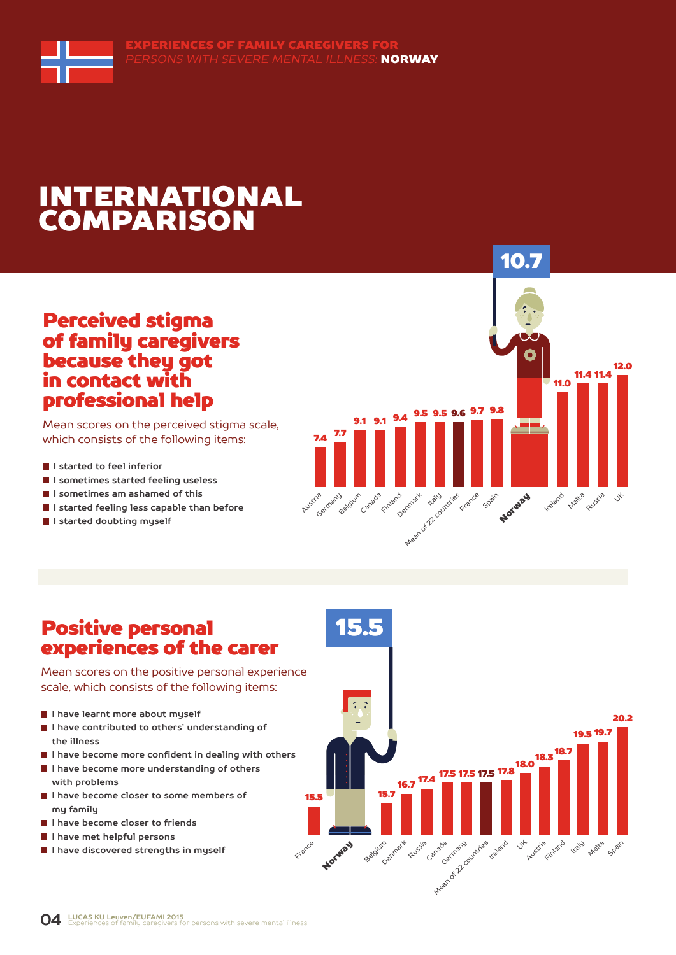# INTERNATIONAL COMPARISON

### Perceived stigma of family caregivers because they got in contact with professional help

Mean scores on the perceived stigma scale, which consists of the following items:

- **I** I started to feel inferior
- **I sometimes started feeling useless**
- **I sometimes am ashamed of this**
- **I started feeling less capable than before**
- **I started doubting myself**



### Positive personal experiences of the carer

Mean scores on the positive personal experience scale, which consists of the following items:

- **I have learnt more about myself**
- **I have contributed to others' understanding of the illness**
- **I have become more confident in dealing with others**
- **I have become more understanding of others with problems**
- **I have become closer to some members of my family**
- **I have become closer to friends**
- **I have met helpful persons**
- **I have discovered strengths in myself**

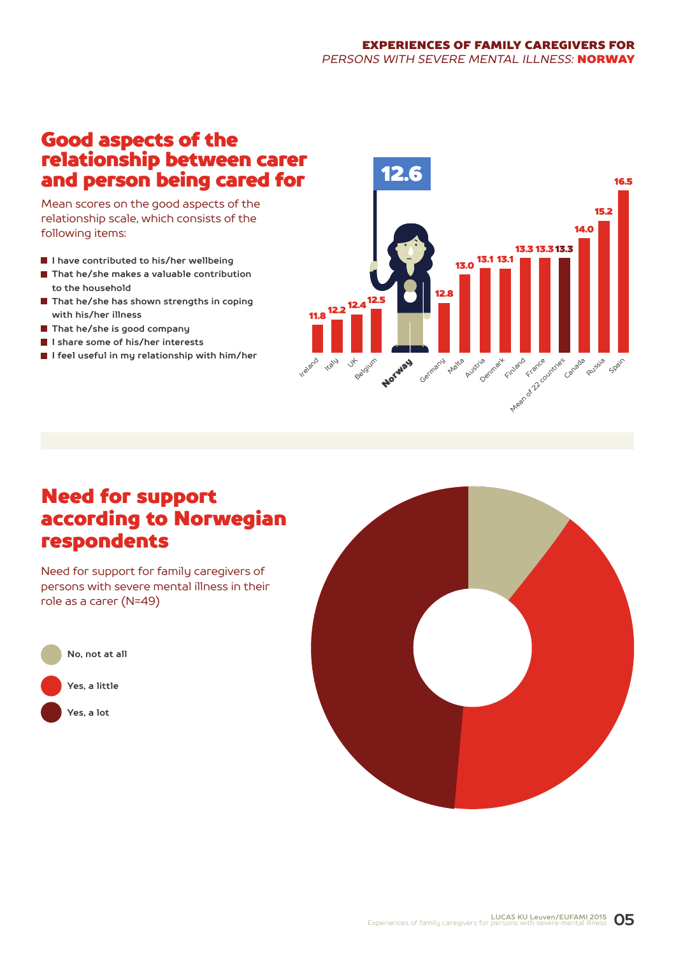#### EXPERIENCES OF FAMILY CAREGIVERS FOR *PERSONS WITH SEVERE MENTAL ILLNESS:* NORWAY

### Good aspects of the relationship between carer and person being cared for

Mean scores on the good aspects of the relationship scale, which consists of the following items:

- **I have contributed to his/her wellbeing**
- **That he/she makes a valuable contribution to the household**
- **That he/she has shown strengths in coping with his/her illness**
- **That he/she is good company**
- **I share some of his/her interests**
- **I feel useful in my relationship with him/her**



### Need for support according to Norwegian respondents

Need for support for family caregivers of persons with severe mental illness in their role as a carer (N=49)



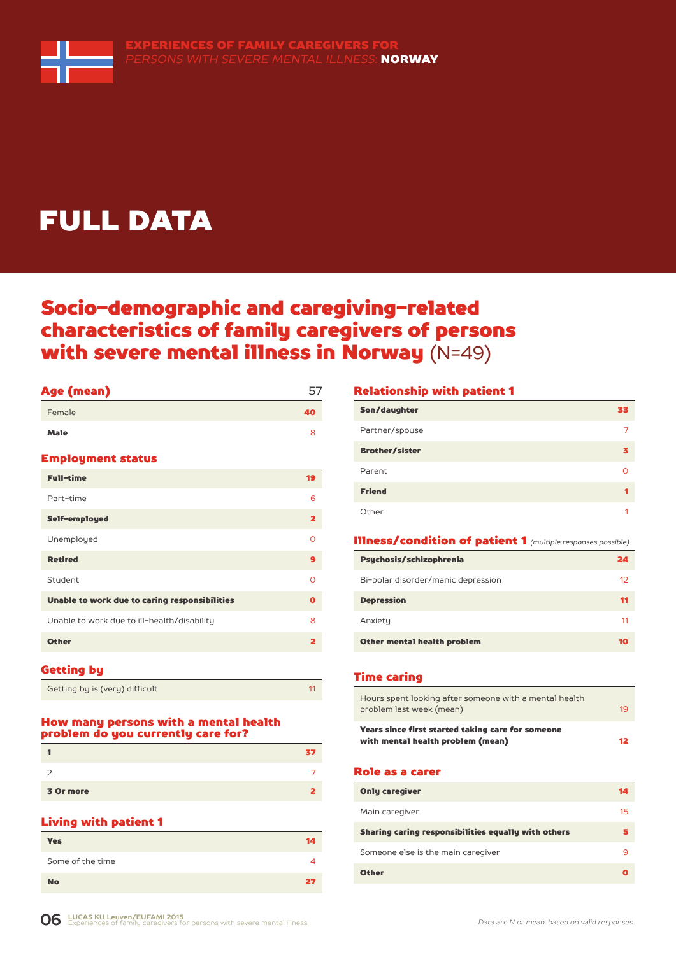

# FULL DATA

### Socio-demographic and caregiving-related characteristics of family caregivers of persons with severe mental illness in Norway (N=49)

| Age (mean)                                    | 57                      |
|-----------------------------------------------|-------------------------|
| Female                                        | 40                      |
| <b>Male</b>                                   | 8                       |
| <b>Employment status</b>                      |                         |
| <b>Full-time</b>                              | 19                      |
| Part-time                                     | 6                       |
| Self-employed                                 | $\overline{\mathbf{2}}$ |
| Unemployed                                    | $\Omega$                |
| <b>Retired</b>                                | 9                       |
| Student                                       | $\Omega$                |
| Unable to work due to caring responsibilities | O                       |
| Unable to work due to ill-health/disability   | 8                       |
| <b>Other</b>                                  | $\overline{\mathbf{2}}$ |
|                                               |                         |

#### Getting by

Getting by is (very) difficult 11 and 11 and 11 and 11 and 11 and 11 and 11 and 11 and 11 and 11 and 11 and 11

#### How many persons with a mental health problem do you currently care for?

| 3 Or more |  |
|-----------|--|

#### Living with patient 1

| <b>Yes</b>       | 14 |
|------------------|----|
| Some of the time | Δ  |
| <b>No</b>        | 27 |

#### Relationship with patient 1

| Son/daughter          | 33 |
|-----------------------|----|
| Partner/spouse        |    |
| <b>Brother/sister</b> | з  |
| Parent                | O  |
| <b>Friend</b>         |    |
| Other                 |    |

#### Illness/condition of patient 1 *(multiple responses possible)*

| Psychosis/schizophrenia            | 24                |
|------------------------------------|-------------------|
| Bi-polar disorder/manic depression | $12 \overline{ }$ |
| <b>Depression</b>                  | 11                |
| Anxiety                            | 11                |
| Other mental health problem        |                   |

#### Time caring

| Years since first started taking care for someone<br>with mental health problem (mean)<br>12 |  |
|----------------------------------------------------------------------------------------------|--|
| Hours spent looking after someone with a mental health<br>problem last week (mean)<br>19     |  |

#### Role as a carer

| <b>Only caregiver</b>                               | 14 |
|-----------------------------------------------------|----|
| Main caregiver                                      | 15 |
| Sharing caring responsibilities equally with others |    |
| Someone else is the main caregiver                  | q  |
| <b>Other</b>                                        |    |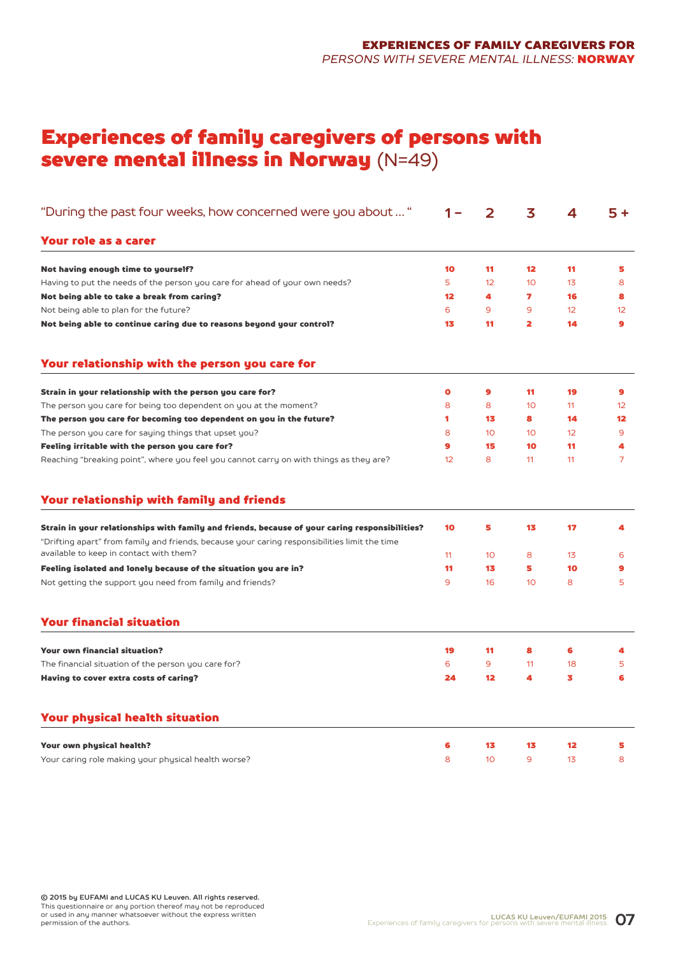### Experiences of family caregivers of persons with severe mental illness in Norway (N=49)

| "During the past four weeks, how concerned were you about "                                                                                                                                     |           | 2               | 3                 | 4                 | $5+$           |
|-------------------------------------------------------------------------------------------------------------------------------------------------------------------------------------------------|-----------|-----------------|-------------------|-------------------|----------------|
| Your role as a carer                                                                                                                                                                            |           |                 |                   |                   |                |
| Not having enough time to yourself?                                                                                                                                                             | 10        | 11              | $12 \overline{ }$ | 11                | 5              |
| Having to put the needs of the person you care for ahead of your own needs?                                                                                                                     | 5         | 12              | 10                | 13                | 8              |
| Not being able to take a break from caring?                                                                                                                                                     | 12        | 4               | 7                 | 16                | 8              |
| Not being able to plan for the future?                                                                                                                                                          | 6         | 9               | 9                 | 12                | 12             |
| Not being able to continue caring due to reasons beyond your control?                                                                                                                           | 13        | 11              | 2                 | 14                | $\bullet$      |
| Your relationship with the person you care for                                                                                                                                                  |           |                 |                   |                   |                |
| Strain in your relationship with the person you care for?                                                                                                                                       | $\bullet$ | 9               | 11                | 19                | 9              |
| The person you care for being too dependent on you at the moment?                                                                                                                               | 8         | 8               | 10                | 11                | 12             |
| The person you care for becoming too dependent on you in the future?                                                                                                                            | 1         | 13              | 8                 | 14                | $12 \,$        |
| The person you care for saying things that upset you?                                                                                                                                           | 8         | 10 <sup>°</sup> | 10                | $12 \overline{ }$ | 9              |
| Feeling irritable with the person you care for?                                                                                                                                                 | $\bullet$ | 15              | 10                | 11                | 4              |
| Reaching "breaking point", where you feel you cannot carry on with things as they are?                                                                                                          | 12        | 8               | 11                | 11                | $\overline{7}$ |
| Your relationship with family and friends                                                                                                                                                       |           |                 |                   |                   |                |
| Strain in your relationships with family and friends, because of your caring responsibilities?<br>"Drifting apart" from family and friends, because your caring responsibilities limit the time | 10        | 5               | 13                | 17                | 4              |
| available to keep in contact with them?                                                                                                                                                         | 11        | 10              | 8                 | 13                | 6              |
| Feeling isolated and lonely because of the situation you are in?                                                                                                                                | 11        | 13              | 5                 | 10                | 9              |
| Not getting the support you need from family and friends?                                                                                                                                       | 9         | 16              | 10                | 8                 | 5              |
| <b>Your financial situation</b>                                                                                                                                                                 |           |                 |                   |                   |                |
| <b>Your own financial situation?</b>                                                                                                                                                            | 19        | 11              | 8                 | 6                 | 4              |
| The financial situation of the person you care for?                                                                                                                                             | 6         | 9               | 11                | 18                | 5              |
| Having to cover extra costs of caring?                                                                                                                                                          | 24        | 12              | 4                 | 3                 | 6              |
| <b>Your physical health situation</b>                                                                                                                                                           |           |                 |                   |                   |                |
| Your own physical health?                                                                                                                                                                       | 6         | 13              | 13                | 12                | 5              |
| Your caring role making your physical health worse?                                                                                                                                             | 8         | 10 <sup>°</sup> | 9                 | 13                | 8              |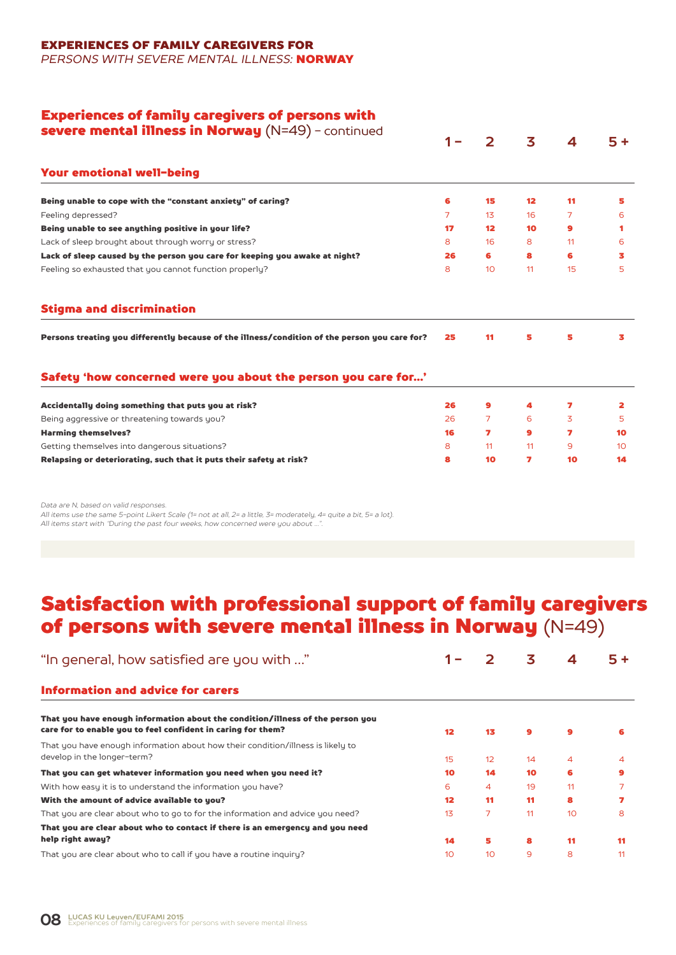### EXPERIENCES OF FAMILY CAREGIVERS FOR

*PERSONS WITH SEVERE MENTAL ILLNESS:* NORWAY

### Experiences of family caregivers of persons with

| <b>severe mental illness in Norway</b> $(N=49)$ - continued                                   |                | 2               | 3               | 4  | $5+$            |
|-----------------------------------------------------------------------------------------------|----------------|-----------------|-----------------|----|-----------------|
|                                                                                               |                |                 |                 |    |                 |
| <b>Your emotional well-being</b>                                                              |                |                 |                 |    |                 |
| Being unable to cope with the "constant anxiety" of caring?                                   | 6              | 15              | 12 <sup>2</sup> | 11 | 5               |
| Feeling depressed?                                                                            | $\overline{7}$ | 13 <sup>°</sup> | 16              | 7  | 6               |
| Being unable to see anything positive in your life?                                           | 17             | 12 <sup>2</sup> | 10              | 9  | 1               |
| Lack of sleep brought about through worry or stress?                                          | 8              | 16              | 8               | 11 | 6               |
| Lack of sleep caused by the person you care for keeping you awake at night?                   | 26             | 6               | 8               | 6  | 3               |
| Feeling so exhausted that you cannot function properly?                                       | 8              | 10 <sup>°</sup> | 11              | 15 | 5               |
| <b>Stigma and discrimination</b>                                                              |                |                 |                 |    |                 |
| Persons treating you differently because of the illness/condition of the person you care for? | 25             | 11              | 5               | 5  | 3               |
| Safety 'how concerned were you about the person you care for'                                 |                |                 |                 |    |                 |
| Accidentally doing something that puts you at risk?                                           | 26             | $\bullet$       | 4               | 7  | 2               |
| Being aggressive or threatening towards you?                                                  | 26             | 7               | 6               | 3  | 5               |
| <b>Harming themselves?</b>                                                                    | 16             | 7               | 9               | 7  | 10              |
| Getting themselves into dangerous situations?                                                 | 8              | 11              | 11              | 9  | 10 <sup>°</sup> |
| Relapsing or deteriorating, such that it puts their safety at risk?                           | 8              | 10              | 7               | 10 | 14              |
|                                                                                               |                |                 |                 |    |                 |

*Data are N, based on valid responses.*

*All items use the same 5-point Likert Scale (1= not at all, 2= a little, 3= moderately, 4= quite a bit, 5= a lot). All items start with "During the past four weeks, how concerned were you about …".*

### Satisfaction with professional support of family caregivers of persons with severe mental illness in Norway (N=49)

| "In general, how satisfied are you with "                                                                                                      |                   |    | 3  | 4  | 5+           |
|------------------------------------------------------------------------------------------------------------------------------------------------|-------------------|----|----|----|--------------|
| <b>Information and advice for carers</b>                                                                                                       |                   |    |    |    |              |
| That you have enough information about the condition/illness of the person you<br>care for to enable you to feel confident in caring for them? | $12 \overline{ }$ | 13 | 9  | 9  | 6            |
| That you have enough information about how their condition/illness is likely to<br>develop in the longer-term?                                 | 15                | 12 | 14 | 4  | 4            |
| That you can get whatever information you need when you need it?                                                                               | 10                | 14 | 10 | 6  | $\mathbf{9}$ |
| With how easy it is to understand the information you have?                                                                                    | 6                 | 4  | 19 | 11 |              |
| With the amount of advice available to you?                                                                                                    | $12 \overline{ }$ | 11 | 11 | 8  |              |
| That you are clear about who to go to for the information and advice you need?                                                                 | 13                | 7  | 11 | 10 | 8            |
| That you are clear about who to contact if there is an emergency and you need                                                                  |                   |    |    |    |              |
| help right away?                                                                                                                               | 14                | 5  | 8  | 11 | 11           |
| That you are clear about who to call if you have a routine inquiry?                                                                            | 10                | 10 | 9  | 8  | 11           |